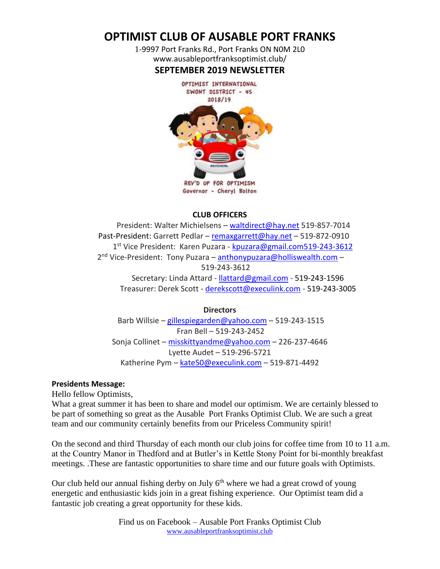# **OPTIMIST CLUB OF AUSABLE PORT FRANKS**

1-9997 Port Franks Rd., Port Franks ON N0M 2L0 www.ausableportfranksoptimist.club/ **SEPTEMBER 2019 NEWSLETTER**



Governor - Cheryl Bolton

# **CLUB OFFICERS**

 President: Walter Michielsens – [waltdirect@hay.net](../Newsletters%202016/waltdirect@hay.net) 519-857-7014 Past-President: Garrett Pedlar – [remaxgarrett@hay.net](../Newsletters%202016/remaxgarrett@hay.net) – 519-872-0910 1<sup>st</sup> Vice President: Karen Puzara - kouzara@gmail.com519-243-3612 2<sup>nd</sup> Vice-President: Tony Puzara – [anthonypuzara@holliswealth.com](../Newsletters%202016/anthonypuzara@holliswealth.com) – 519-243-3612 Secretary: Linda Attard - [llattard@gmail.com](mailto:llattard@gmail.com) - 519-243-1596 Treasurer: Derek Scott - [derekscott@execulink.com](../Newsletters%202016/derekscott@execulink.com) - 519-243-3005

**Directors** Barb Willsie – [gillespiegarden@yahoo.com](../Newsletters%202016/gillespiegarden@yahoo.com) – 519-243-1515 Fran Bell – 519-243-2452 Sonja Collinet – [misskittyandme@yahoo.com](../Newsletters%202016/misskittyandme@yahoo.com) – 226-237-4646 Lyette Audet – 519-296-5721 Katherine Pym – [kate50@execulink.com](mailto:kate50@execulink.com) – 519-871-4492

### **Presidents Message:**

Hello fellow Optimists,

What a great summer it has been to share and model our optimism. We are certainly blessed to be part of something so great as the Ausable Port Franks Optimist Club. We are such a great team and our community certainly benefits from our Priceless Community spirit!

On the second and third Thursday of each month our club joins for coffee time from 10 to 11 a.m. at the Country Manor in Thedford and at Butler's in Kettle Stony Point for bi-monthly breakfast meetings. .These are fantastic opportunities to share time and our future goals with Optimists.

Our club held our annual fishing derby on July  $6<sup>th</sup>$  where we had a great crowd of young energetic and enthusiastic kids join in a great fishing experience. Our Optimist team did a fantastic job creating a great opportunity for these kids.

> Find us on Facebook – Ausable Port Franks Optimist Club [www.ausableportfranksoptimist.club](http://www.ausableportfranksoptimist.club/)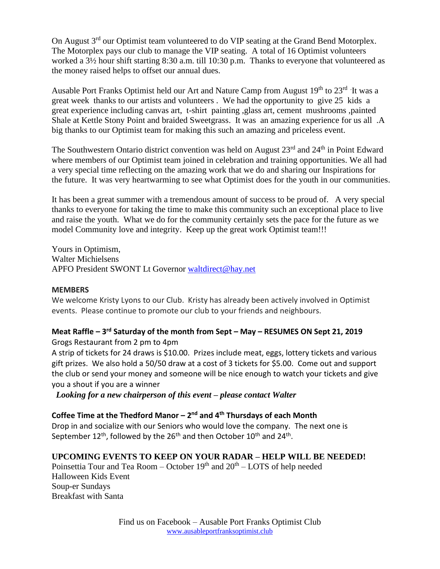On August 3<sup>rd</sup> our Optimist team volunteered to do VIP seating at the Grand Bend Motorplex. The Motorplex pays our club to manage the VIP seating. A total of 16 Optimist volunteers worked a 3½ hour shift starting 8:30 a.m. till 10:30 p.m. Thanks to everyone that volunteered as the money raised helps to offset our annual dues.

Ausable Port Franks Optimist held our Art and Nature Camp from August 19<sup>th</sup> to 23<sup>rd</sup> It was a great week thanks to our artists and volunteers . We had the opportunity to give 25 kids a great experience including canvas art, t-shirt painting ,glass art, cement mushrooms ,painted Shale at Kettle Stony Point and braided Sweetgrass. It was an amazing experience for us all .A big thanks to our Optimist team for making this such an amazing and priceless event.

The Southwestern Ontario district convention was held on August 23<sup>rd</sup> and 24<sup>th</sup> in Point Edward where members of our Optimist team joined in celebration and training opportunities. We all had a very special time reflecting on the amazing work that we do and sharing our Inspirations for the future. It was very heartwarming to see what Optimist does for the youth in our communities.

It has been a great summer with a tremendous amount of success to be proud of. A very special thanks to everyone for taking the time to make this community such an exceptional place to live and raise the youth. What we do for the community certainly sets the pace for the future as we model Community love and integrity. Keep up the great work Optimist team!!!

Yours in Optimism, Walter Michielsens APFO President SWONT Lt Governor [waltdirect@hay.net](mailto:waltdirect@hay.net)

### **MEMBERS**

We welcome Kristy Lyons to our Club. Kristy has already been actively involved in Optimist events. Please continue to promote our club to your friends and neighbours.

# **Meat Raffle – 3 rd Saturday of the month from Sept – May – RESUMES ON Sept 21, 2019**

Grogs Restaurant from 2 pm to 4pm

A strip of tickets for 24 draws is \$10.00. Prizes include meat, eggs, lottery tickets and various gift prizes. We also hold a 50/50 draw at a cost of 3 tickets for \$5.00. Come out and support the club or send your money and someone will be nice enough to watch your tickets and give you a shout if you are a winner

*Looking for a new chairperson of this event – please contact Walter*

# **Coffee Time at the Thedford Manor – 2 nd and 4th Thursdays of each Month**

Drop in and socialize with our Seniors who would love the company. The next one is September 12<sup>th</sup>, followed by the 26<sup>th</sup> and then October 10<sup>th</sup> and 24<sup>th</sup>.

# **UPCOMING EVENTS TO KEEP ON YOUR RADAR – HELP WILL BE NEEDED!**

Poinsettia Tour and Tea Room – October  $19<sup>th</sup>$  and  $20<sup>th</sup>$  – LOTS of help needed Halloween Kids Event Soup-er Sundays Breakfast with Santa